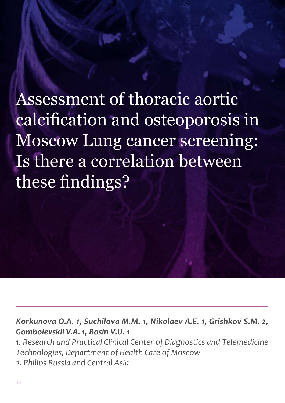Assessment of thoracic aortic calcification and osteoporosis in Moscow Lung cancer screening: Is there a correlation between these findings?

*Korkunova O.A. 1, Suchilova M.M. 1, Nikolaev A.E. 1, Grishkov S.M. 2, Gombolevskii V.A. 1, Bosin V.U. 1* 

*1. Research and Practical Clinical Center of Diagnostics and Telemedicine Technologies, Department of Health Care of Moscow*

*2. Philips Russia and Central Asia*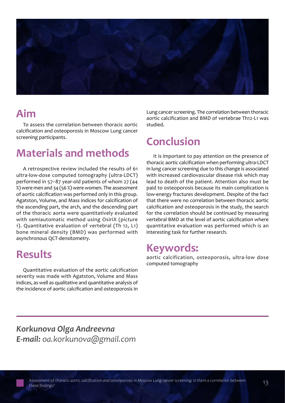

### **Aim**

To assess the correlation between thoracic aortic calcification and osteoporosis in Moscow Lung cancer screening participants.

### **Materials and methods**

A retrospective review included the results of 61 ultra-low-dose computed tomography (ultra-LDCT) performed in 57–87 year-old patients of whom 27 (44 %) were men and 34 (56 %) were women. The assessment of aortic calcification was performed only in this group. Agatston, Volume, and Mass indices for calcification of the ascending part, the arch, and the descending part of the thoracic aorta were quantitatively evaluated with semiautomatic method using OsiriX (picture 1). Quantitative evaluation of vertebral (Th 12, L1) bone mineral density (BMD) was performed with asynchronous QCT-densitometry.

### **Results**

Quantitative evaluation of the aortic calcification severity was made with Agatston, Volume and Mass indices, as well as qualitative and quantitative analysis of the incidence of aortic calcification and osteoporosis in

Lung cancer screening. The correlation between thoracic aortic calcification and BMD of vertebrae Th12-L1 was studied.

### **Conclusion**

It is important to pay attention on the presence of thoracic aortic calcification when performing ultra-LDCT in lung cancer screening due to this change is associated with increased cardiovascular disease risk which may lead to death of the patient. Attention also must be paid to osteoporosis because its main complication is low-energy fractures development. Despite of the fact that there were no correlation between thoracic aortic calcification and osteoporosis in the study, the search for the correlation should be continued by measuring vertebral BMD at the level of aortic calcification where quantitative evaluation was performed which is an interesting task for further research.

#### **Keywords:**

aortic calcification, osteoporosis, ultra-low dose computed tomography

*Korkunova Olga Andreevna E-mail: oa.korkunova@gmail.com*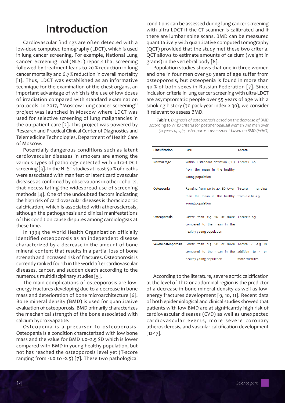### **Introduction**

Cardiovascular findings are often detected with a low-dose computed tomography (LDCT), which is used in lung cancer screening. For example, National Lung Cancer Screening Trial (NLST) reports that screening followed by treatment leads to 20 % reduction in lung cancer mortality and 6.7 % reduction in overall mortality [1]. Thus, LDCT was established as an informative technique for the examination of the chest organs, an important advantage of which is the use of low doses of irradiation compared with standard examination protocols. In 2017, "Moscow Lung cancer screening" project was launched in Moscow where LDCT was used for selective screening of lung malignancies in the outpatient care [2]. This project was powered by Research and Practical Clinical Center of Diagnostics and Telemedicine Technologies, Department of Health Care of Moscow.

Potentially dangerous conditions such as latent cardiovascular diseases in smokers are among the various types of pathology detected with ultra-LDCT screening [3]. In the NLST studies at least 50 % of deaths were associated with manifest or latent cardiovascular diseases as confirmed by observations in other cohorts, that necessitating the widespread use of screening methods [4]. One of the undoubted factors indicating the high risk of cardiovascular diseases is thoracic aortic calcification, which is associated with atherosclerosis, although the pathogenesis and clinical manifestations of this condition cause disputes among cardiologists at these time.

In 1994 the World Health Organization officially identified osteoporosis as an independent disease characterized by a decrease in the amount of bone mineral content that results in a partial loss of bone strength and increased risk of fractures. Osteoporosis is currently ranked fourth in the world after cardiovascular diseases, cancer, and sudden death according to the numerous multidisciplinary studies [5].

The main complications of osteoporosis are lowenergy fractures developing due to a decrease in bone mass and deterioration of bone microarchitecture [6]. Bone mineral density (BMD) is used for quantitative evaluation of osteoporosis. BMD primarily characterizes the mechanical strength of the bone associated with calcium hydroxyapatite.

Osteopenia is a precursor to osteoporosis. Osteopenia is a condition characterized with low bone mass and the value for BMD 1.0–2.5 SD which is lower compared with BMD in young healthy population, but not has reached the osteoporosis level yet (T-score ranging from -1.0 to -2.5) [7]. These two pathological conditions can be assessed during lung cancer screening with ultra-LDCT if the CT scanner is calibrated and if there are lumbar spine scans. BMD can be measured quantitatively with quantitative computed tomography (QCT) provided that the study met these two criteria. QCT allows to estimate amounts of calcium (weight in grams) in the vertebral body [8].

Population studies shows that one in three women and one in four men over 50 years of age suffer from osteoporosis, but osteopenia is found in more than 40 % of both sexes in Russian Federation [7]. Since inclusion criteria in lung cancer screening with ultra-LDCT are asymptomatic people over 55 years of age with a smoking history (30 pack-year index > 30), we consider it relevant to assess BMD.

*Table 1. Diagnosis of osteoporosis based on the decrease of BMD according to WHO criteria for postmenopausal women and men over 50 years of age; osteoporosis assessment based on BMD (WHO)*

| Classification | <b>BMD</b>                                                                  | <b>T-score</b> |
|----------------|-----------------------------------------------------------------------------|----------------|
| Normal rage    | Within 1 standard deviation (SD)   T-score $\ge$ -1.0                       |                |
|                | from the mean in the healthy                                                |                |
|                | young population                                                            |                |
| Osteopenia     | Ranging from 1.0 to 2.5 SD lower   T-score ranging                          |                |
|                | than the mean in the healthy from -1.0 to -2.5                              |                |
|                | young population                                                            |                |
|                |                                                                             |                |
| Osteoporosis   | Lower than $2.5$ SD or more T-score $\leq$ -2.5                             |                |
|                | compared to the mean in the                                                 |                |
|                | healthy young population                                                    |                |
|                |                                                                             |                |
|                | <b>Severe osteoporosis</b> Lower than 2.5 SD or more T-score $\leq$ -2.5 in |                |
|                | compared to the mean in the addition to 1 or                                |                |
|                | healthy young population                                                    | more fractures |

According to the literature, severe aortic calcification at the level of Th12 or abdominal region is the predictor of a decrease in bone mineral density as well as lowenergy fractures development [9, 10, 11]. Recent data of both epidemiological and clinical studies showed that patients with low BMD are at significantly high risk of cardiovascular diseases (CVD) as well as unexpected cardiovascular events, more severe coronary atherosclerosis, and vascular calcification development [12-17].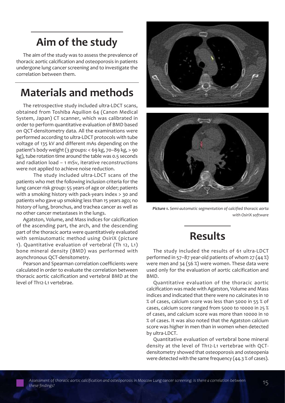# **Aim of the study**

The aim of the study was to assess the prevalence of thoracic aortic calcification and osteoporosis in patients undergone lung cancer screening and to investigate the correlation between them.

### **Materials and methods**

The retrospective study included ultra-LDCT scans, obtained from Toshiba Aquilion 64 (Canon Medical System, Japan) CT scanner, which was calibrated in order to perform quantitative evaluation of BMD based on QCT-densitometry data. All the examinations were performed according to ultra-LDCT protocols with tube voltage of 135 kV and different mAs depending on the patient's body weight (3 groups: < 69 kg, 70–89 kg, > 90 kg), tube rotation time around the table was 0.5 seconds and radiation load – 1 mSv, iterative reconstructions were not applied to achieve noise reduction.

The study included ultra-LDCT scans of the patients who met the following inclusion criteria for the lung cancer risk group: 55 years of age or older; patients with a smoking history with pack-years index > 30 and patients who gave up smoking less than 15 years ago; no history of lung, bronchus, and trachea cancer as well as no other cancer metastases in the lungs.

Agatston, Volume, and Mass indices for calcification of the ascending part, the arch, and the descending part of the thoracic aorta were quantitatively evaluated with semiautomatic method using OsiriX (picture 1). Quantitative evaluation of vertebral (Th 12, L1) bone mineral density (BMD) was performed with asynchronous QCT-densitometry.

Pearson and Spearman correlation coefficients were calculated in order to evaluate the correlation between thoracic aortic calcification and vertebral BMD at the level of Th12-L1 vertebrae.





*Picture 1. Semi-automatic segmentation of calcified thoracic aorta with OsiriX software*

### **Results**

The study included the results of 61 ultra-LDCT performed in 57–87 year-old patients of whom 27 (44 %) were men and 34 (56 %) were women. These data were used only for the evaluation of aortic calcification and BMD.

Quantitative evaluation of the thoracic aortic calcification was made with Agatston, Volume and Mass indices and indicated that there were no calcinates in 10 % of cases, calcium score was less than 5000 in 55 % of cases, calcium score ranged from 5000 to 10000 in 25 % of cases, and calcium score was more than 10000 in 10 % of cases. It was also noted that the Agatston calcium score was higher in men than in women when detected by ultra-LDCT.

Quantitative evaluation of vertebral bone mineral density at the level of Th12-L1 vertebrae with QCTdensitometry showed that osteoporosis and osteopenia were detected with the same frequency (44.3 % of cases).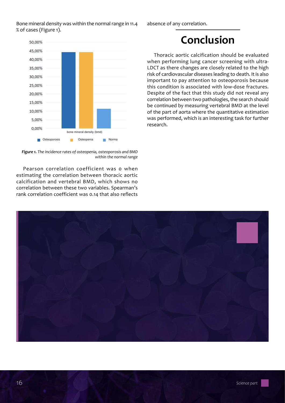

absence of any correlation.



*Figure 1. The incidence rates of osteopenia, osteoporosis and BMD within the normal range*

Pearson correlation coefficient was 0 when estimating the correlation between thoracic aortic calcification and vertebral BMD, which shows no correlation between these two variables. Spearman's rank correlation coefficient was 0.14 that also reflects

## **Conclusion**

Thoracic aortic calcification should be evaluated when performing lung cancer screening with ultra-LDCT as there changes are closely related to the high risk of cardiovascular diseases leading to death. It is also important to pay attention to osteoporosis because this condition is associated with low-dose fractures. Despite of the fact that this study did not reveal any correlation between two pathologies, the search should be continued by measuring vertebral BMD at the level of the part of aorta where the quantitative estimation was performed, which is an interesting task for further research.